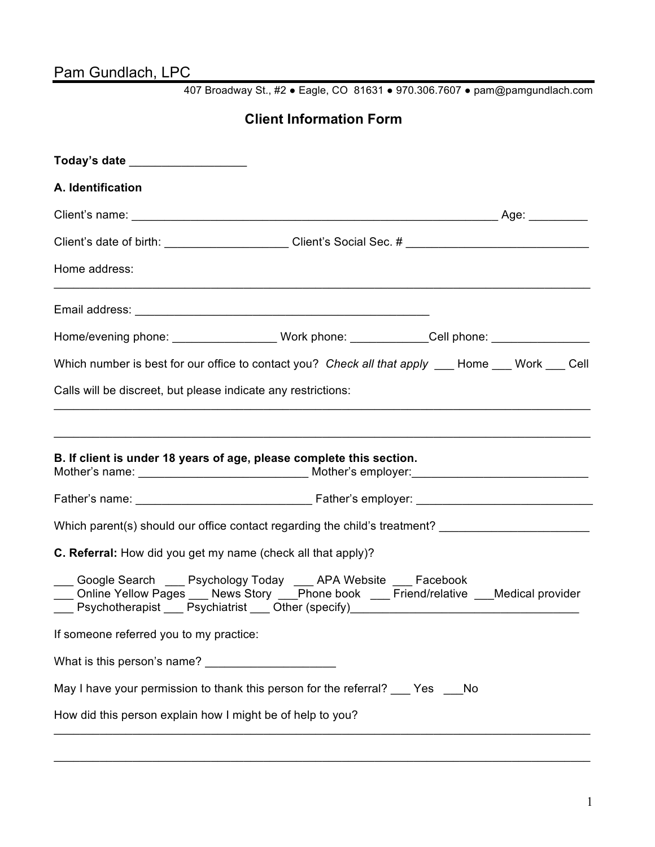# Pam Gundlach, LPC

407 Broadway St., #2 ● Eagle, CO 81631 ● 970.306.7607 ● pam@pamgundlach.com

### **Client Information Form**

| Today's date __________________                                                                                                                                     |  |
|---------------------------------------------------------------------------------------------------------------------------------------------------------------------|--|
| A. Identification                                                                                                                                                   |  |
|                                                                                                                                                                     |  |
|                                                                                                                                                                     |  |
| Home address:                                                                                                                                                       |  |
|                                                                                                                                                                     |  |
| Home/evening phone: _____________________Work phone: _____________Cell phone: _____________________                                                                 |  |
| Which number is best for our office to contact you? Check all that apply ___ Home ___ Work ___ Cell                                                                 |  |
| Calls will be discreet, but please indicate any restrictions:                                                                                                       |  |
| B. If client is under 18 years of age, please complete this section.                                                                                                |  |
| Which parent(s) should our office contact regarding the child's treatment? _________________________                                                                |  |
| C. Referral: How did you get my name (check all that apply)?                                                                                                        |  |
| ___ Google Search ___ Psychology Today ___ APA Website ___ Facebook<br>___ Online Yellow Pages ___ News Story ___Phone book ___ Friend/relative ___Medical provider |  |
| If someone referred you to my practice:                                                                                                                             |  |
| What is this person's name?                                                                                                                                         |  |
| May I have your permission to thank this person for the referral? ___ Yes ___No                                                                                     |  |
| How did this person explain how I might be of help to you?                                                                                                          |  |
|                                                                                                                                                                     |  |

\_\_\_\_\_\_\_\_\_\_\_\_\_\_\_\_\_\_\_\_\_\_\_\_\_\_\_\_\_\_\_\_\_\_\_\_\_\_\_\_\_\_\_\_\_\_\_\_\_\_\_\_\_\_\_\_\_\_\_\_\_\_\_\_\_\_\_\_\_\_\_\_\_\_\_\_\_\_\_\_\_\_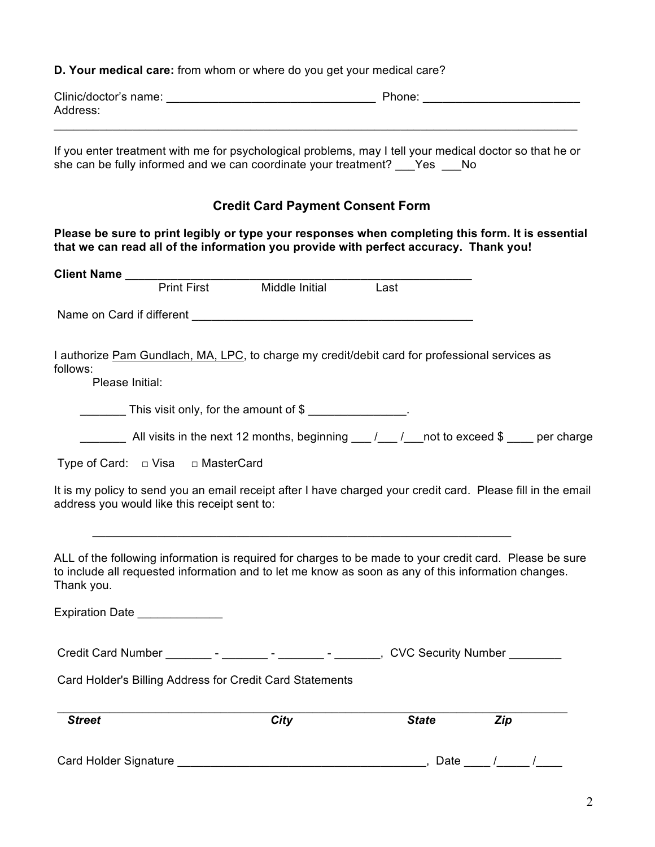**D. Your medical care:** from whom or where do you get your medical care?

| Clinic/doctor's name: | Phone: |
|-----------------------|--------|
| Address:              |        |
|                       |        |

If you enter treatment with me for psychological problems, may I tell your medical doctor so that he or she can be fully informed and we can coordinate your treatment? Yes No

### **Credit Card Payment Consent Form**

**Please be sure to print legibly or type your responses when completing this form. It is essential that we can read all of the information you provide with perfect accuracy. Thank you!** 

| Client Name ______________                   |                                                                                                     |              |                                                                                                              |
|----------------------------------------------|-----------------------------------------------------------------------------------------------------|--------------|--------------------------------------------------------------------------------------------------------------|
|                                              | Print First Middle Initial                                                                          | Last         |                                                                                                              |
|                                              | Name on Card if different <b>Name on Card if different</b>                                          |              |                                                                                                              |
| follows:<br>Please Initial:                  | I authorize Pam Gundlach, MA, LPC, to charge my credit/debit card for professional services as      |              |                                                                                                              |
|                                              | This visit only, for the amount of \$                                                               |              |                                                                                                              |
|                                              |                                                                                                     |              | All visits in the next 12 months, beginning $\mu$ / $\mu$ not to exceed \$ _ per charge                      |
| Type of Card: $\Box$ Visa $\Box$ MasterCard  |                                                                                                     |              |                                                                                                              |
| address you would like this receipt sent to: |                                                                                                     |              | It is my policy to send you an email receipt after I have charged your credit card. Please fill in the email |
| Thank you.                                   | to include all requested information and to let me know as soon as any of this information changes. |              | ALL of the following information is required for charges to be made to your credit card. Please be sure      |
| Expiration Date                              |                                                                                                     |              |                                                                                                              |
|                                              |                                                                                                     |              |                                                                                                              |
|                                              | Card Holder's Billing Address for Credit Card Statements                                            |              |                                                                                                              |
| <b>Street</b>                                | <b>City</b>                                                                                         | <b>State</b> | <b>Zip</b>                                                                                                   |
|                                              |                                                                                                     |              | ____, Date ____ /_____ /_                                                                                    |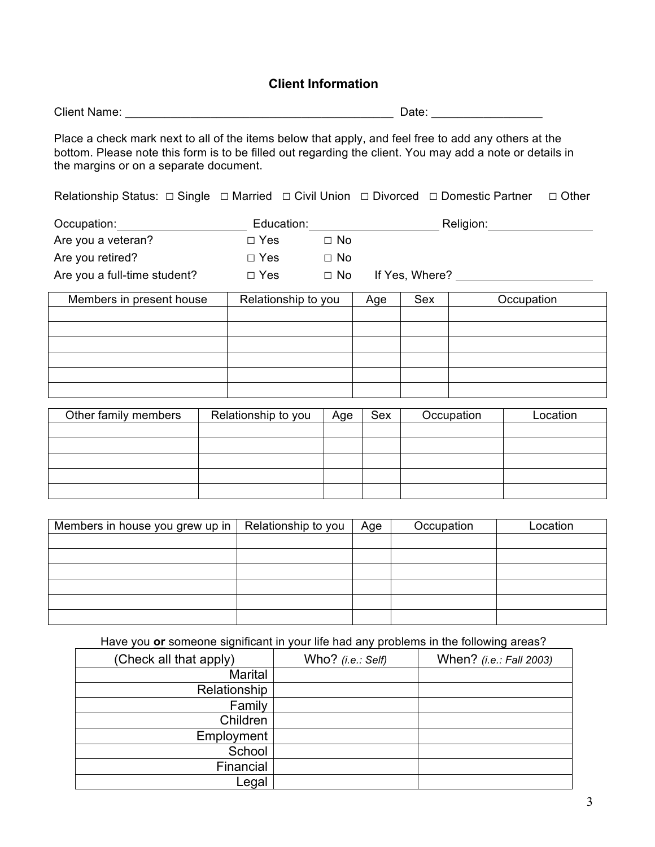### **Client Information**

| <b>Client Name:</b> | Date: |  |
|---------------------|-------|--|
|                     |       |  |

Place a check mark next to all of the items below that apply, and feel free to add any others at the bottom. Please note this form is to be filled out regarding the client. You may add a note or details in the margins or on a separate document.

Relationship Status: □ Single □ Married □ Civil Union □ Divorced □ Domestic Partner □ Other

| Occupation:                  | Education: |           | Religion:      |
|------------------------------|------------|-----------|----------------|
| Are you a veteran?           | $\Box$ Yes | □ No      |                |
| Are you retired?             | $\Box$ Yes | $\Box$ No |                |
| Are you a full-time student? | $\Box$ Yes | $\Box$ No | If Yes, Where? |

| Members in present house | Relationship to you | Age | Sex | Occupation |
|--------------------------|---------------------|-----|-----|------------|
|                          |                     |     |     |            |
|                          |                     |     |     |            |
|                          |                     |     |     |            |
|                          |                     |     |     |            |
|                          |                     |     |     |            |
|                          |                     |     |     |            |

| Other family members | Relationship to you | Age | Sex | Occupation | Location |
|----------------------|---------------------|-----|-----|------------|----------|
|                      |                     |     |     |            |          |
|                      |                     |     |     |            |          |
|                      |                     |     |     |            |          |
|                      |                     |     |     |            |          |
|                      |                     |     |     |            |          |

| Members in house you grew up in | Relationship to you | Age | Occupation | Location |
|---------------------------------|---------------------|-----|------------|----------|
|                                 |                     |     |            |          |
|                                 |                     |     |            |          |
|                                 |                     |     |            |          |
|                                 |                     |     |            |          |
|                                 |                     |     |            |          |
|                                 |                     |     |            |          |

Have you **or** someone significant in your life had any problems in the following areas?

| (Check all that apply) | Who? (i.e.: Self) | When? (i.e.: Fall 2003) |
|------------------------|-------------------|-------------------------|
| Marital                |                   |                         |
| Relationship           |                   |                         |
| Family                 |                   |                         |
| Children               |                   |                         |
| Employment             |                   |                         |
| School                 |                   |                         |
| Financial              |                   |                         |
| Legal                  |                   |                         |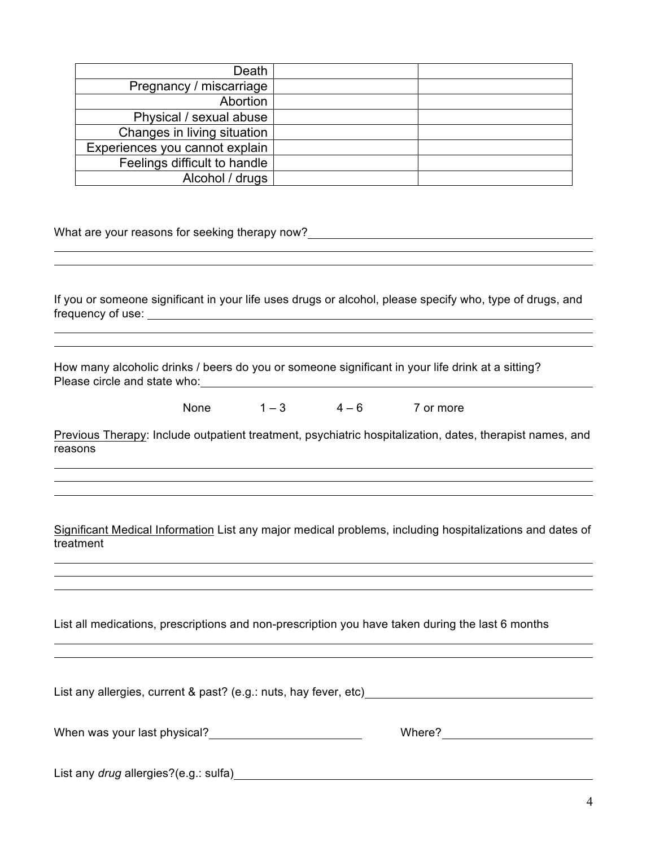| Death                                          |                                                                                                          |
|------------------------------------------------|----------------------------------------------------------------------------------------------------------|
| Pregnancy / miscarriage                        |                                                                                                          |
| Abortion                                       |                                                                                                          |
| Physical / sexual abuse                        |                                                                                                          |
| Changes in living situation                    |                                                                                                          |
| Experiences you cannot explain                 |                                                                                                          |
| Feelings difficult to handle                   |                                                                                                          |
| Alcohol / drugs                                |                                                                                                          |
| What are your reasons for seeking therapy now? |                                                                                                          |
|                                                |                                                                                                          |
|                                                |                                                                                                          |
|                                                | If you or someone significant in your life uses drugs or alcohol, please specify who, type of drugs, and |
| frequency of use:                              |                                                                                                          |

How many alcoholic drinks / beers do you or someone significant in your life drink at a sitting? Please circle and state who:

None  $1-3$   $4-6$  7 or more

Previous Therapy: Include outpatient treatment, psychiatric hospitalization, dates, therapist names, and reasons

<u> 1980 - Johann Barbara, martxa alemaniar amerikan basar da da a shekara 1980 - Andrew Maria Barbara, mash</u>

Significant Medical Information List any major medical problems, including hospitalizations and dates of treatment

List all medications, prescriptions and non-prescription you have taken during the last 6 months

| List any allergies, current & past? (e.g.: nuts, hay fever, etc) |        |
|------------------------------------------------------------------|--------|
| When was your last physical?                                     | Where? |
| List any drug allergies?(e.g.: sulfa)                            |        |